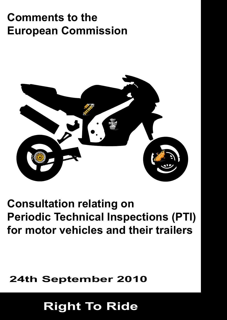# **Comments to the European Commission**



# **Consultation relating on Periodic Technical Inspections (PTI) for motor vehicles and their trailers**

### **24th September 2010**

# **Right To Ride**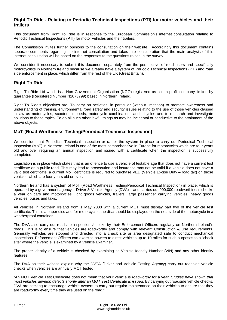#### **Right To Ride - Relating to Periodic Technical Inspections (PTI) for motor vehicles and their trailers**

This document from Right To Ride is in response to the European Commission's internet consultation relating to Periodic Technical Inspections (PTI) for motor vehicles and their trailers.

The Commission invites further opinions to the consultation on their website. Accordingly this document contains separate comments regarding the internet consultation and takes into consideration that the main analysis of this internet consultation will be based on the responses to the questions raised in the survey.

We consider it necessary to submit this document separately from the perspective of road users and specifically motorcyclists in Northern Ireland because we already have a system of Periodic Technical Inspections (PTI) and road side enforcement in place, which differ from the rest of the UK (Great Britain).

### **Right To Ride**

Right To Ride Ltd which is a Non Government Organisation (NGO) registered as a non profit company limited by guarantee (Registered Number N1073799) based in Northern Ireland.

Right To Ride's objectives are: To carry on activities, in particular (without limitation) to promote awareness and understanding of training, environmental road safety and security issues relating to the use of those vehicles classed in law as motorcycles, scooters, mopeds, motorcycle combinations and tricycles and to research and investigate solutions to these topics. To do all such other lawful things as may be incidental or conductive to the attainment of the above objects.

### **MoT (Road Worthiness Testing/Periodical Technical Inspection)**

We consider that Periodical Technical Inspection or rather the system in place to carry out Periodical Technical Inspection (MoT) in Northern Ireland is one of the most comprehensive in Europe for motorcycles which are four years old and over requiring an annual inspection and issued with a certificate when the inspection is successfully completed.

Legislation is in place which states that is an offence to use a vehicle of testable age that does not have a current test certificate on a public road. This may lead to prosecution and insurance may not be valid if a vehicle does not have a valid test certificate; a current MoT certificate is required to purchase VED (Vehicle Excise Duty – road tax) on those vehicles which are four years old or over.

Northern Ireland has a system of MoT (Road Worthiness Testing/Periodical Technical Inspection) in place, which is operated by a government agency – Driver & Vehicle Agency (DVA) – and carries out 900,000 roadworthiness checks a year on cars and motorcycles, light goods vehicles, trailers, large passenger carrying vehicles, heavy goods vehicles, buses and taxis.

All vehicles in Northern Ireland from 1 May 2008 with a current MOT must display part two of the vehicle test certificate. This is a paper disc and for motorcycles the disc should be displayed on the nearside of the motorcycle in a weatherproof container.

The DVA also carry out roadside inspections/checks by their Enforcement Officers regularly on Northern Ireland´s roads. This is to ensure that vehicles are roadworthy and comply with relevant Construction & Use requirements. Generally vehicles are stopped and directed into a check site or area designated safe to conduct mechanical inspections. Enforcement Officers can exercise powers to direct vehicles up to 10 miles for such purposes to a "check site" where the vehicle is examined by a Vehicle Examiner.

The proper identity of a vehicle is checked by examining its Vehicle Identity Number (VIN) and any other identity features.

The DVA on their website explain why the DVTA (Driver and Vehicle Testing Agency) carry out roadside vehicle checks when vehicles are annually MOT tested.

"An MOT Vehicle Test Certificate does not mean that your vehicle is roadworthy for a year. *Studies have shown that most vehicles develop defects shortly after an MOT Test Certificate is issued.* By carrying out roadside vehicle checks, DVA are seeking to encourage vehicle owners to carry out regular maintenance on their vehicles to ensure that they are roadworthy every time they are used on the road."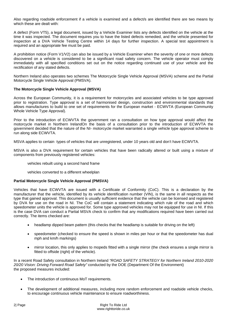Also regarding roadside enforcement if a vehicle is examined and a defect/s are identified there are two means by which these are dealt with:

A defect (Form VT5), a legal document, issued by a Vehicle Examiner lists any defects identified on the vehicle at the time it was inspected. The document requires you to have the listed defects remedied, and the vehicle presented for inspection at a DVA Vehicle Testing Centre within 14 days for further inspection. A special test appointment is required and an appropriate fee must be paid.

A prohibition notice (Form V1/V2) can also be issued by a Vehicle Examiner when the severity of one or more defects discovered on a vehicle is considered to be a significant road safety concern. The vehicle operator must comply immediately with all specified conditions set out on the notice regarding continued use of your vehicle and the rectification of any stated defects.

Northern Ireland also operates two schemes The Motorcycle Single Vehicle Approval (MSVA) scheme and the Partial Motorcycle Single Vehicle Approval (PMSVA).

#### **The Motorcycle Single Vehicle Approval (MSVA)**

Across the European Community, it is a requirement for motorcycles and associated vehicles to be type approved prior to registration. Type approval is a set of harmonised design, construction and environmental standards that allows manufactures to build to one set of requirements for the European market - ECWVTA (European Community Whole Vehicle Type Approval).

Prior to the introduction of ECWVTA the government ran a consultation on how type approval would affect the motorcycle market in Northern IrelandOn the basis of a consultation prior to the introduction of ECWVTA the government decided that the nature of the NI- motorcycle market warranted a single vehicle type approval scheme to run along side ECWVTA.

MSVA applies to certain types of vehicles that are unregistered, under 10 years old and don't have ECWVTA.

MSVA is also a DVA requirement for certain vehicles that have been radically altered or built using a mixture of components from previously registered vehicles:

- vehicles rebuilt using a second hand frame
- vehicles converted to a different wheelplan

#### **Partial Motorcycle Single Vehicle Approval (PMSVA)**

Vehicles that have ECWVTA are issued with a Certificate of Conformity (CoC). This is a declaration by the manufacturer that the vehicle, identified by its vehicle identification number (VIN), is the same in all respects as the type that gained approval. This document is usually sufficient evidence that the vehicle can be licensed and registered by DVA for use on the road in NI. The CoC will contain a statement indicating which rule of the road and which speedometer units the vehicle is approved for. Some type approved vehicles may not be equipped for use in NI. If this is the case DVA can conduct a Partial MSVA check to confirm that any modifications required have been carried out correctly. The items checked are:

- headlamp dipped beam pattern (this checks that the headlamp is suitable for driving on the left)
- speedometer (checked to ensure the speed is shown in miles per hour or that the speedometer has dual mph and km/h markings)
- mirror location, this only applies to mopeds fitted with a single mirror (the check ensures a single mirror is fitted to offside (right) of the vehicle).

In a recent Road Safety consultation in Northern Ireland *"ROAD SAFETY STRATEGY for Northern Ireland 2010-2020 20/20 Vision: Driving Forward Road Safety"* conducted by the DOE (Department Of the Environment) the proposed measures included:

- The introduction of continuous MoT requirements.
- The development of additional measures, including more random enforcement and roadside vehicle checks, to encourage continuous vehicle maintenance to ensure roadworthiness.